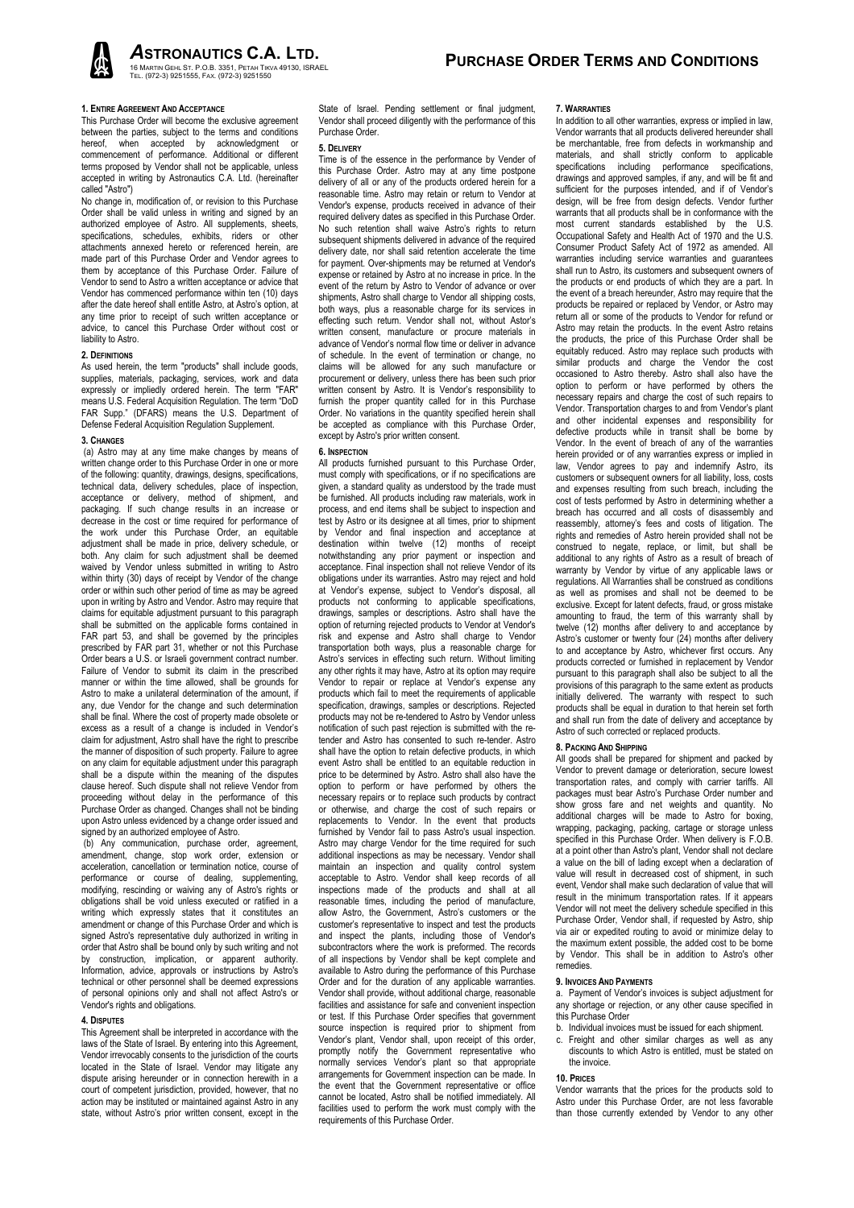ASTRONAUTICS C.A. LTD.

## 1. ENTIRE AGREEMENT AND ACCEPTANCE

This Purchase Order will become the exclusive agreement between the parties, subject to the terms and conditions hereof, when accepted by acknowledgment or commencement of performance. Additional or different terms proposed by Vendor shall not be applicable, unless accepted in writing by Astronautics C.A. Ltd. (hereinafter called "Astro")

No change in, modification of, or revision to this Purchase Order shall be valid unless in writing and signed by an authorized employee of Astro. All supplements, sheets, specifications, schedules, exhibits, riders or other attachments annexed hereto or referenced herein, are made part of this Purchase Order and Vendor agrees to them by acceptance of this Purchase Order. Failure of Vendor to send to Astro a written acceptance or advice that Vendor has commenced performance within ten (10) days after the date hereof shall entitle Astro, at Astro's option, at any time prior to receipt of such written acceptance or advice, to cancel this Purchase Order without cost or liability to Astro.

# 2. DEFINITIONS

As used herein, the term "products" shall include goods, supplies, materials, packaging, services, work and data expressly or impliedly ordered herein. The term "FAR" means U.S. Federal Acquisition Regulation. The term "DoD FAR Supp." (DFARS) means the U.S. Department of Defense Federal Acquisition Regulation Supplement.

### 3. CHANGES

 (a) Astro may at any time make changes by means of written change order to this Purchase Order in one or more of the following: quantity, drawings, designs, specifications, technical data, delivery schedules, place of inspection, acceptance or delivery, method of shipment, and packaging. If such change results in an increase or decrease in the cost or time required for performance of the work under this Purchase Order, an equitable adjustment shall be made in price, delivery schedule, or both. Any claim for such adjustment shall be deemed waived by Vendor unless submitted in writing to Astro within thirty (30) days of receipt by Vendor of the change order or within such other period of time as may be agreed upon in writing by Astro and Vendor. Astro may require that claims for equitable adjustment pursuant to this paragraph shall be submitted on the applicable forms contained in FAR part 53, and shall be governed by the principles prescribed by FAR part 31, whether or not this Purchase Order bears a U.S. or Israeli government contract number. Failure of Vendor to submit its claim in the prescribed manner or within the time allowed, shall be grounds for Astro to make a unilateral determination of the amount, if any, due Vendor for the change and such determination shall be final. Where the cost of property made obsolete or excess as a result of a change is included in Vendor's claim for adjustment, Astro shall have the right to prescribe the manner of disposition of such property. Failure to agree on any claim for equitable adjustment under this paragraph shall be a dispute within the meaning of the disputes clause hereof. Such dispute shall not relieve Vendor from proceeding without delay in the performance of this Purchase Order as changed. Changes shall not be binding upon Astro unless evidenced by a change order issued and signed by an authorized employee of Astro.

 (b) Any communication, purchase order, agreement, amendment, change, stop work order, extension or acceleration, cancellation or termination notice, course of performance or course of dealing, supplementing, modifying, rescinding or waiving any of Astro's rights or obligations shall be void unless executed or ratified in a writing which expressly states that it constitutes an amendment or change of this Purchase Order and which is signed Astro's representative duly authorized in writing in order that Astro shall be bound only by such writing and not by construction, implication, or apparent authority. Information, advice, approvals or instructions by Astro's technical or other personnel shall be deemed expressions of personal opinions only and shall not affect Astro's or Vendor's rights and obligations.

### 4. DISPUTES

This Agreement shall be interpreted in accordance with the laws of the State of Israel. By entering into this Agreement, Vendor irrevocably consents to the jurisdiction of the courts located in the State of Israel. Vendor may litigate any dispute arising hereunder or in connection herewith in a court of competent jurisdiction, provided, however, that no action may be instituted or maintained against Astro in any state, without Astro's prior written consent, except in the

State of Israel. Pending settlement or final judgment, Vendor shall proceed diligently with the performance of this Purchase Order.

### 5. DELIVERY

Time is of the essence in the performance by Vender of this Purchase Order. Astro may at any time postpone delivery of all or any of the products ordered herein for a reasonable time. Astro may retain or return to Vendor at Vendor's expense, products received in advance of their required delivery dates as specified in this Purchase Order. No such retention shall waive Astro's rights to return subsequent shipments delivered in advance of the required delivery date, nor shall said retention accelerate the time for payment. Over-shipments may be returned at Vendor's expense or retained by Astro at no increase in price. In the event of the return by Astro to Vendor of advance or over shipments, Astro shall charge to Vendor all shipping costs, both ways, plus a reasonable charge for its services in effecting such return. Vendor shall not, without Astor's written consent, manufacture or procure materials in advance of Vendor's normal flow time or deliver in advance of schedule. In the event of termination or change, no claims will be allowed for any such manufacture or procurement or delivery, unless there has been such prior written consent by Astro. It is Vendor's responsibility to furnish the proper quantity called for in this Purchase Order. No variations in the quantity specified herein shall be accepted as compliance with this Purchase Order, except by Astro's prior written consent.

## 6. INSPECTION

All products furnished pursuant to this Purchase Order, must comply with specifications, or if no specifications are given, a standard quality as understood by the trade must be furnished. All products including raw materials, work in process, and end items shall be subject to inspection and test by Astro or its designee at all times, prior to shipment by Vendor and final inspection and acceptance at destination within twelve (12) months of receipt notwithstanding any prior payment or inspection and acceptance. Final inspection shall not relieve Vendor of its obligations under its warranties. Astro may reject and hold at Vendor's expense, subject to Vendor's disposal, all products not conforming to applicable specifications, drawings, samples or descriptions. Astro shall have the option of returning rejected products to Vendor at Vendor's risk and expense and Astro shall charge to Vendor transportation both ways, plus a reasonable charge for Astro's services in effecting such return. Without limiting any other rights it may have, Astro at its option may require Vendor to repair or replace at Vendor's expense any products which fail to meet the requirements of applicable specification, drawings, samples or descriptions. Rejected products may not be re-tendered to Astro by Vendor unless notification of such past rejection is submitted with the retender and Astro has consented to such re-tender. Astro shall have the option to retain defective products, in which event Astro shall be entitled to an equitable reduction in price to be determined by Astro. Astro shall also have the option to perform or have performed by others the necessary repairs or to replace such products by contract or otherwise, and charge the cost of such repairs or replacements to Vendor. In the event that products furnished by Vendor fail to pass Astro's usual inspection. Astro may charge Vendor for the time required for such additional inspections as may be necessary. Vendor shall maintain an inspection and quality control system acceptable to Astro. Vendor shall keep records of all inspections made of the products and shall at all reasonable times, including the period of manufacture, allow Astro, the Government, Astro's customers or the customer's representative to inspect and test the products and inspect the plants, including those of Vendor's subcontractors where the work is preformed. The records of all inspections by Vendor shall be kept complete and available to Astro during the performance of this Purchase Order and for the duration of any applicable warranties. Vendor shall provide, without additional charge, reasonable facilities and assistance for safe and convenient inspection or test. If this Purchase Order specifies that government source inspection is required prior to shipment from Vendor's plant, Vendor shall, upon receipt of this order, promptly notify the Government representative who normally services Vendor's plant so that appropriate arrangements for Government inspection can be made. In the event that the Government representative or office cannot be located, Astro shall be notified immediately. All facilities used to perform the work must comply with the requirements of this Purchase Order.

# 7. WARRANTIES

In addition to all other warranties, express or implied in law, Vendor warrants that all products delivered hereunder shall be merchantable, free from defects in workmanship and materials, and shall strictly conform to applicable specifications including performance specifications, drawings and approved samples, if any, and will be fit and sufficient for the purposes intended, and if of Vendor's design, will be free from design defects. Vendor further warrants that all products shall be in conformance with the most current standards established by the U.S. Occupational Safety and Health Act of 1970 and the U.S. Consumer Product Safety Act of 1972 as amended. All warranties including service warranties and quarantees shall run to Astro, its customers and subsequent owners of the products or end products of which they are a part. In the event of a breach hereunder, Astro may require that the products be repaired or replaced by Vendor, or Astro may return all or some of the products to Vendor for refund or Astro may retain the products. In the event Astro retains the products, the price of this Purchase Order shall be equitably reduced. Astro may replace such products with similar products and charge the Vendor the cost occasioned to Astro thereby. Astro shall also have the option to perform or have performed by others the necessary repairs and charge the cost of such repairs to Vendor. Transportation charges to and from Vendor's plant and other incidental expenses and responsibility for defective products while in transit shall be borne by Vendor. In the event of breach of any of the warranties herein provided or of any warranties express or implied in law, Vendor agrees to pay and indemnify Astro, its customers or subsequent owners for all liability, loss, costs and expenses resulting from such breach, including the cost of tests performed by Astro in determining whether a breach has occurred and all costs of disassembly and reassembly, attorney's fees and costs of litigation. The rights and remedies of Astro herein provided shall not be construed to negate, replace, or limit, but shall be additional to any rights of Astro as a result of breach of warranty by Vendor by virtue of any applicable laws or regulations. All Warranties shall be construed as conditions as well as promises and shall not be deemed to be exclusive. Except for latent defects, fraud, or gross mistake amounting to fraud, the term of this warranty shall by twelve (12) months after delivery to and acceptance by Astro's customer or twenty four (24) months after delivery to and acceptance by Astro, whichever first occurs. Any products corrected or furnished in replacement by Vendor pursuant to this paragraph shall also be subject to all the provisions of this paragraph to the same extent as products initially delivered. The warranty with respect to such products shall be equal in duration to that herein set forth and shall run from the date of delivery and acceptance by Astro of such corrected or replaced products.

### 8. PACKING AND SHIPPING

All goods shall be prepared for shipment and packed by Vendor to prevent damage or deterioration, secure lowest transportation rates, and comply with carrier tariffs. All packages must bear Astro's Purchase Order number and show gross fare and net weights and quantity. No additional charges will be made to Astro for boxing, wrapping, packaging, packing, cartage or storage unless specified in this Purchase Order. When delivery is F.O.B. at a point other than Astro's plant, Vendor shall not declare a value on the bill of lading except when a declaration of value will result in decreased cost of shipment, in such event, Vendor shall make such declaration of value that will result in the minimum transportation rates. If it appears Vendor will not meet the delivery schedule specified in this Purchase Order, Vendor shall, if requested by Astro, ship via air or expedited routing to avoid or minimize delay to the maximum extent possible, the added cost to be borne by Vendor. This shall be in addition to Astro's other remedies.

## 9. INVOICES AND PAYMENTS

a. Payment of Vendor's invoices is subject adjustment for any shortage or rejection, or any other cause specified in this Purchase Order

- b. Individual invoices must be issued for each shipment.
- c. Freight and other similar charges as well as any discounts to which Astro is entitled, must be stated on the invoice.

#### 10. PRICES

Vendor warrants that the prices for the products sold to Astro under this Purchase Order, are not less favorable than those currently extended by Vendor to any other